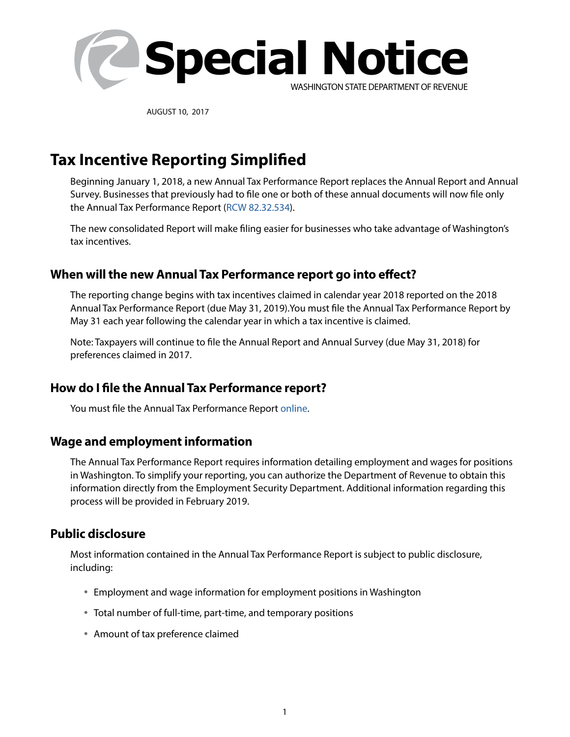

AUGUST 10, 2017

# **Tax Incentive Reporting Simplified**

Beginning January 1, 2018, a new Annual Tax Performance Report replaces the Annual Report and Annual Survey. Businesses that previously had to file one or both of these annual documents will now file only the Annual Tax Performance Report [\(RCW 82.32.534](http://app.leg.wa.gov/rcw/default.aspx?cite=82.32.534)).

The new consolidated Report will make filing easier for businesses who take advantage of Washington's tax incentives.

## **When will the new Annual Tax Performance report go into effect?**

The reporting change begins with tax incentives claimed in calendar year 2018 reported on the 2018 Annual Tax Performance Report (due May 31, 2019).You must file the Annual Tax Performance Report by May 31 each year following the calendar year in which a tax incentive is claimed.

Note: Taxpayers will continue to file the Annual Report and Annual Survey (due May 31, 2018) for preferences claimed in 2017.

## **How do I file the Annual Tax Performance report?**

You must file the Annual Tax Performance Report [online](https://fortress.wa.gov/dor/efile/FortressLogon/Logon.aspx).

### **Wage and employment information**

The Annual Tax Performance Report requires information detailing employment and wages for positions in Washington. To simplify your reporting, you can authorize the Department of Revenue to obtain this information directly from the Employment Security Department. Additional information regarding this process will be provided in February 2019.

### **Public disclosure**

Most information contained in the Annual Tax Performance Report is subject to public disclosure, including:

- Employment and wage information for employment positions in Washington
- Total number of full-time, part-time, and temporary positions
- Amount of tax preference claimed